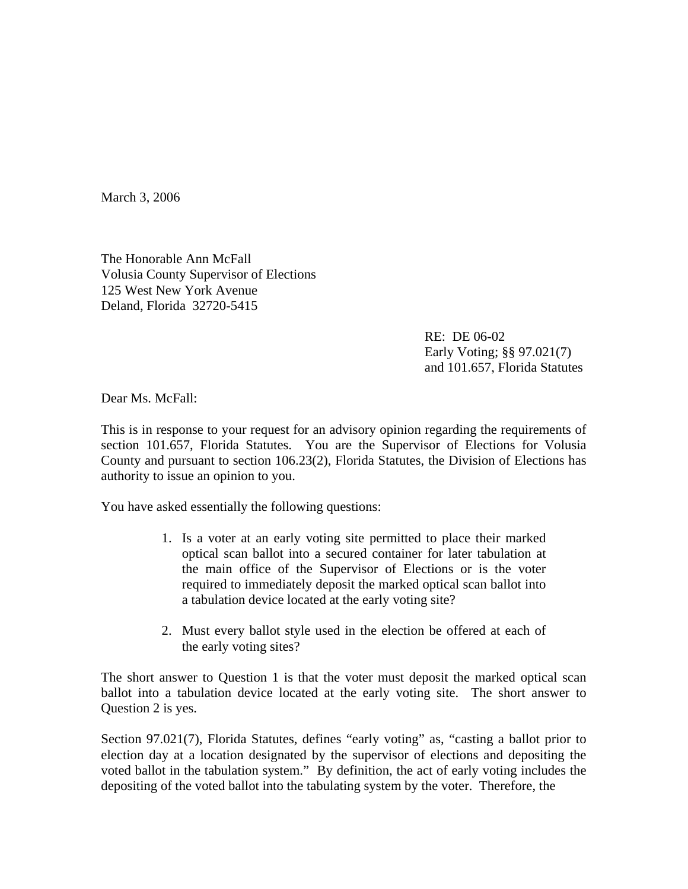March 3, 2006

The Honorable Ann McFall Volusia County Supervisor of Elections 125 West New York Avenue Deland, Florida 32720-5415

> RE: DE 06-02 Early Voting; §§ 97.021(7) and 101.657, Florida Statutes

Dear Ms. McFall:

This is in response to your request for an advisory opinion regarding the requirements of section 101.657, Florida Statutes. You are the Supervisor of Elections for Volusia County and pursuant to section 106.23(2), Florida Statutes, the Division of Elections has authority to issue an opinion to you.

You have asked essentially the following questions:

- 1. Is a voter at an early voting site permitted to place their marked optical scan ballot into a secured container for later tabulation at the main office of the Supervisor of Elections or is the voter required to immediately deposit the marked optical scan ballot into a tabulation device located at the early voting site?
- 2. Must every ballot style used in the election be offered at each of the early voting sites?

The short answer to Question 1 is that the voter must deposit the marked optical scan ballot into a tabulation device located at the early voting site. The short answer to Question 2 is yes.

Section 97.021(7), Florida Statutes, defines "early voting" as, "casting a ballot prior to election day at a location designated by the supervisor of elections and depositing the voted ballot in the tabulation system." By definition, the act of early voting includes the depositing of the voted ballot into the tabulating system by the voter. Therefore, the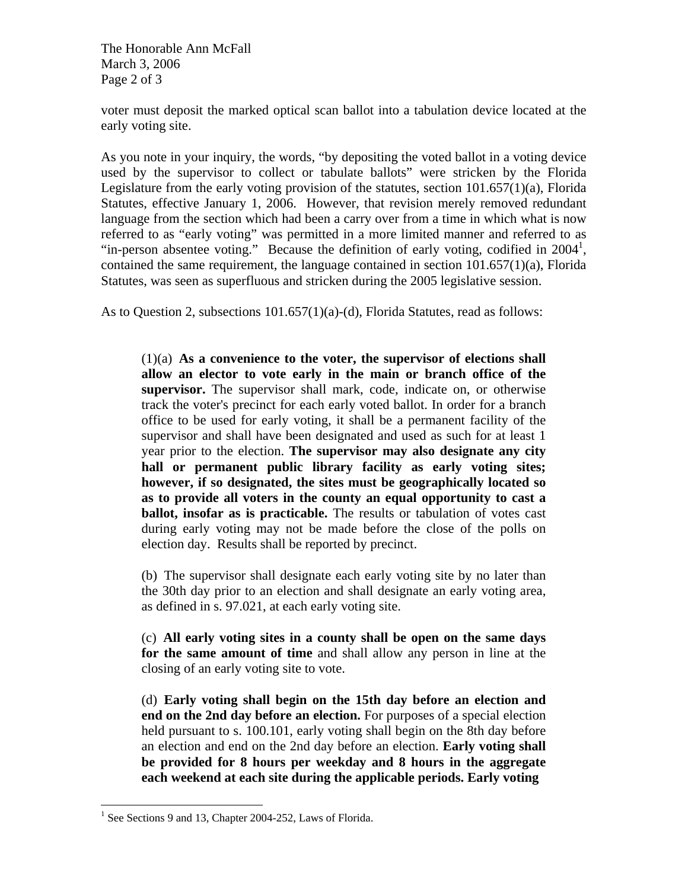The Honorable Ann McFall March 3, 2006 Page 2 of 3

voter must deposit the marked optical scan ballot into a tabulation device located at the early voting site.

As you note in your inquiry, the words, "by depositing the voted ballot in a voting device used by the supervisor to collect or tabulate ballots" were stricken by the Florida Legislature from the early voting provision of the statutes, section 101.657(1)(a), Florida Statutes, effective January 1, 2006. However, that revision merely removed redundant language from the section which had been a carry over from a time in which what is now referred to as "early voting" was permitted in a more limited manner and referred to as "in-person absentee voting." Because the definition of early voting, codified in  $2004<sup>1</sup>$ , contained the same requirement, the language contained in section 101.657(1)(a), Florida Statutes, was seen as superfluous and stricken during the 2005 legislative session.

As to Question 2, subsections 101.657(1)(a)-(d), Florida Statutes, read as follows:

(1)(a) **As a convenience to the voter, the supervisor of elections shall allow an elector to vote early in the main or branch office of the supervisor.** The supervisor shall mark, code, indicate on, or otherwise track the voter's precinct for each early voted ballot. In order for a branch office to be used for early voting, it shall be a permanent facility of the supervisor and shall have been designated and used as such for at least 1 year prior to the election. **The supervisor may also designate any city hall or permanent public library facility as early voting sites; however, if so designated, the sites must be geographically located so as to provide all voters in the county an equal opportunity to cast a ballot, insofar as is practicable.** The results or tabulation of votes cast during early voting may not be made before the close of the polls on election day. Results shall be reported by precinct.

(b) The supervisor shall designate each early voting site by no later than the 30th day prior to an election and shall designate an early voting area, as defined in s. 97.021, at each early voting site.

(c) **All early voting sites in a county shall be open on the same days for the same amount of time** and shall allow any person in line at the closing of an early voting site to vote.

(d) **Early voting shall begin on the 15th day before an election and end on the 2nd day before an election.** For purposes of a special election held pursuant to s. 100.101, early voting shall begin on the 8th day before an election and end on the 2nd day before an election. **Early voting shall be provided for 8 hours per weekday and 8 hours in the aggregate each weekend at each site during the applicable periods. Early voting** 

<sup>1</sup> <sup>1</sup> See Sections 9 and 13, Chapter 2004-252, Laws of Florida.